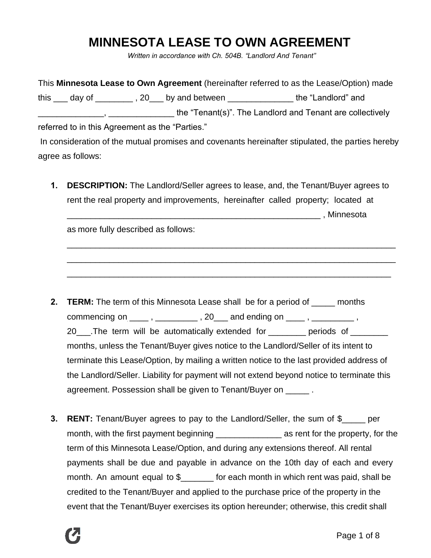# **MINNESOTA LEASE TO OWN AGREEMENT**

*Written in accordance with Ch. 504B. "Landlord And Tenant"*

This **Minnesota Lease to Own Agreement** (hereinafter referred to as the Lease/Option) made this \_\_\_ day of \_\_\_\_\_\_\_\_, 20\_\_\_ by and between \_\_\_\_\_\_\_\_\_\_\_\_\_\_\_\_\_ the "Landlord" and \_\_\_\_\_\_\_\_\_\_\_\_\_\_, \_\_\_\_\_\_\_\_\_\_\_\_\_\_ the "Tenant(s)". The Landlord and Tenant are collectively referred to in this Agreement as the "Parties." In consideration of the mutual promises and covenants hereinafter stipulated, the parties hereby

agree as follows:

**1. DESCRIPTION:** The Landlord/Seller agrees to lease, and, the Tenant/Buyer agrees to rent the real property and improvements, hereinafter called property; located at \_\_\_\_\_\_\_\_\_\_\_\_\_\_\_\_\_\_\_\_\_\_\_\_\_\_\_\_\_\_\_\_\_\_\_\_\_\_\_\_\_\_\_\_\_\_\_\_\_\_\_\_\_\_ , Minnesota

\_\_\_\_\_\_\_\_\_\_\_\_\_\_\_\_\_\_\_\_\_\_\_\_\_\_\_\_\_\_\_\_\_\_\_\_\_\_\_\_\_\_\_\_\_\_\_\_\_\_\_\_\_\_\_\_\_\_\_\_\_\_\_\_\_\_\_\_\_\_

\_\_\_\_\_\_\_\_\_\_\_\_\_\_\_\_\_\_\_\_\_\_\_\_\_\_\_\_\_\_\_\_\_\_\_\_\_\_\_\_\_\_\_\_\_\_\_\_\_\_\_\_\_\_\_\_\_\_\_\_\_\_\_\_\_\_\_\_\_\_

\_\_\_\_\_\_\_\_\_\_\_\_\_\_\_\_\_\_\_\_\_\_\_\_\_\_\_\_\_\_\_\_\_\_\_\_\_\_\_\_\_\_\_\_\_\_\_\_\_\_\_\_\_\_\_\_\_\_\_\_\_\_\_\_\_\_\_\_\_

as more fully described as follows:

- **2. TERM:** The term of this Minnesota Lease shall be for a period of \_\_\_\_\_ months commencing on  $\frac{1}{1}$ ,  $\frac{1}{1}$ ,  $\frac{1}{1}$ ,  $\frac{1}{1}$ ,  $\frac{1}{1}$  and ending on  $\frac{1}{1}$ ,  $\frac{1}{1}$ ,  $\frac{1}{1}$ ,  $\frac{1}{1}$ 20\_\_\_\_.The term will be automatically extended for \_\_\_\_\_\_\_\_ periods of \_\_\_\_\_\_\_\_ months, unless the Tenant/Buyer gives notice to the Landlord/Seller of its intent to terminate this Lease/Option, by mailing a written notice to the last provided address of the Landlord/Seller. Liability for payment will not extend beyond notice to terminate this agreement. Possession shall be given to Tenant/Buyer on \_\_\_\_\_ .
- **3. RENT:** Tenant/Buyer agrees to pay to the Landlord/Seller, the sum of \$ \_\_\_\_ per month, with the first payment beginning \_\_\_\_\_\_\_\_\_\_\_\_\_\_\_\_\_\_\_\_\_\_\_ as rent for the property, for the term of this Minnesota Lease/Option, and during any extensions thereof. All rental payments shall be due and payable in advance on the 10th day of each and every month. An amount equal to \$\_\_\_\_\_\_\_ for each month in which rent was paid, shall be credited to the Tenant/Buyer and applied to the purchase price of the property in the event that the Tenant/Buyer exercises its option hereunder; otherwise, this credit shall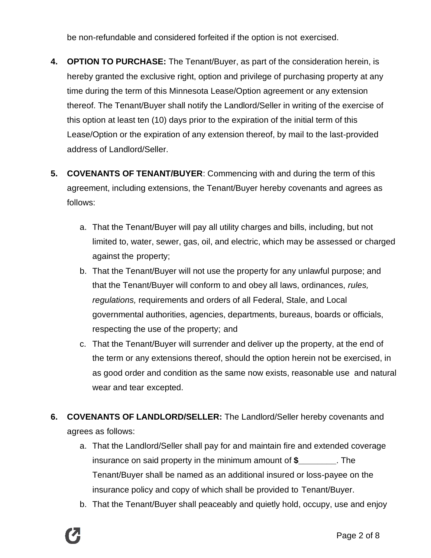be non-refundable and considered forfeited if the option is not exercised.

- **4. OPTION TO PURCHASE:** The Tenant/Buyer, as part of the consideration herein, is hereby granted the exclusive right, option and privilege of purchasing property at any time during the term of this Minnesota Lease/Option agreement or any extension thereof. The Tenant/Buyer shall notify the Landlord/Seller in writing of the exercise of this option at least ten (10) days prior to the expiration of the initial term of this Lease/Option or the expiration of any extension thereof, by mail to the last-provided address of Landlord/Seller.
- **5. COVENANTS OF TENANT/BUYER**: Commencing with and during the term of this agreement, including extensions, the Tenant/Buyer hereby covenants and agrees as follows:
	- a. That the Tenant/Buyer will pay all utility charges and bills, including, but not limited to, water, sewer, gas, oil, and electric, which may be assessed or charged against the property;
	- b. That the Tenant/Buyer will not use the property for any unlawful purpose; and that the Tenant/Buyer will conform to and obey all laws, ordinances, *rules, regulations,* requirements and orders of all Federal, Stale, and Local governmental authorities, agencies, departments, bureaus, boards or officials, respecting the use of the property; and
	- c. That the Tenant/Buyer will surrender and deliver up the property, at the end of the term or any extensions thereof, should the option herein not be exercised, in as good order and condition as the same now exists, reasonable use and natural wear and tear excepted.
- **6. COVENANTS OF LANDLORD/SELLER:** The Landlord/Seller hereby covenants and agrees as follows:
	- a. That the Landlord/Seller shall pay for and maintain fire and extended coverage insurance on said property in the minimum amount of **\$\_\_\_\_\_\_\_\_**. The Tenant/Buyer shall be named as an additional insured or loss-payee on the insurance policy and copy of which shall be provided to Tenant/Buyer.
	- b. That the Tenant/Buyer shall peaceably and quietly hold, occupy, use and enjoy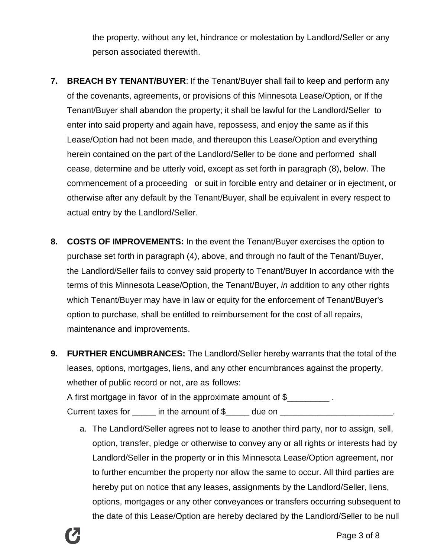the property, without any let, hindrance or molestation by Landlord/Seller or any person associated therewith.

- **7. BREACH BY TENANT/BUYER**: If the Tenant/Buyer shall fail to keep and perform any of the covenants, agreements, or provisions of this Minnesota Lease/Option, or If the Tenant/Buyer shall abandon the property; it shall be lawful for the Landlord/Seller to enter into said property and again have, repossess, and enjoy the same as if this Lease/Option had not been made, and thereupon this Lease/Option and everything herein contained on the part of the Landlord/Seller to be done and performed shall cease, determine and be utterly void, except as set forth in paragraph (8), below. The commencement of a proceeding or suit in forcible entry and detainer or in ejectment, or otherwise after any default by the Tenant/Buyer, shall be equivalent in every respect to actual entry by the Landlord/Seller.
- **8. COSTS OF IMPROVEMENTS:** In the event the Tenant/Buyer exercises the option to purchase set forth in paragraph (4), above, and through no fault of the Tenant/Buyer, the Landlord/Seller fails to convey said property to Tenant/Buyer In accordance with the terms of this Minnesota Lease/Option, the Tenant/Buyer, *in* addition to any other rights which Tenant/Buyer may have in law or equity for the enforcement of Tenant/Buyer's option to purchase, shall be entitled to reimbursement for the cost of all repairs, maintenance and improvements.
- **9. FURTHER ENCUMBRANCES:** The Landlord/Seller hereby warrants that the total of the leases, options, mortgages, liens, and any other encumbrances against the property, whether of public record or not, are as follows: A first mortgage in favor of in the approximate amount of \$ Current taxes for  $\Box$  in the amount of \$ \_\_\_\_ due on  $\Box$ 
	- a. The Landlord/Seller agrees not to lease to another third party, nor to assign, sell, option, transfer, pledge or otherwise to convey any or all rights or interests had by Landlord/Seller in the property or in this Minnesota Lease/Option agreement, nor to further encumber the property nor allow the same to occur. All third parties are hereby put on notice that any leases, assignments by the Landlord/Seller, liens, options, mortgages or any other conveyances or transfers occurring subsequent to the date of this Lease/Option are hereby declared by the Landlord/Seller to be null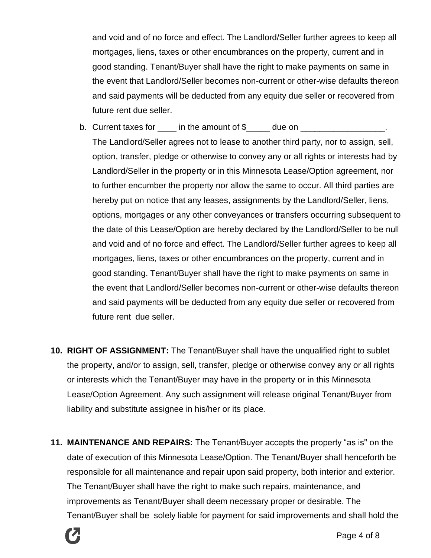and void and of no force and effect. The Landlord/Seller further agrees to keep all mortgages, liens, taxes or other encumbrances on the property, current and in good standing. Tenant/Buyer shall have the right to make payments on same in the event that Landlord/Seller becomes non-current or other-wise defaults thereon and said payments will be deducted from any equity due seller or recovered from future rent due seller.

- b. Current taxes for  $\qquad$  in the amount of  $\$\qquad$  due on  $\qquad$ The Landlord/Seller agrees not to lease to another third party, nor to assign, sell, option, transfer, pledge or otherwise to convey any or all rights or interests had by Landlord/Seller in the property or in this Minnesota Lease/Option agreement, nor to further encumber the property nor allow the same to occur. All third parties are hereby put on notice that any leases, assignments by the Landlord/Seller, liens, options, mortgages or any other conveyances or transfers occurring subsequent to the date of this Lease/Option are hereby declared by the Landlord/Seller to be null and void and of no force and effect. The Landlord/Seller further agrees to keep all mortgages, liens, taxes or other encumbrances on the property, current and in good standing. Tenant/Buyer shall have the right to make payments on same in the event that Landlord/Seller becomes non-current or other-wise defaults thereon and said payments will be deducted from any equity due seller or recovered from future rent due seller.
- **10. RIGHT OF ASSIGNMENT:** The Tenant/Buyer shall have the unqualified right to sublet the property, and/or to assign, sell, transfer, pledge or otherwise convey any or all rights or interests which the Tenant/Buyer may have in the property or in this Minnesota Lease/Option Agreement. Any such assignment will release original Tenant/Buyer from liability and substitute assignee in his/her or its place.
- **11. MAINTENANCE AND REPAIRS:** The Tenant/Buyer accepts the property "as is" on the date of execution of this Minnesota Lease/Option. The Tenant/Buyer shall henceforth be responsible for all maintenance and repair upon said property, both interior and exterior. The Tenant/Buyer shall have the right to make such repairs, maintenance, and improvements as Tenant/Buyer shall deem necessary proper or desirable. The Tenant/Buyer shall be solely liable for payment for said improvements and shall hold the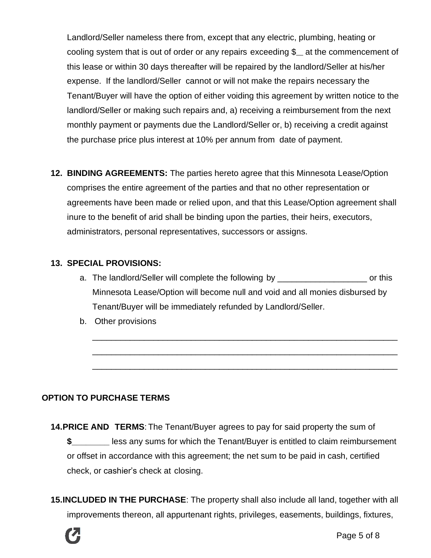Landlord/Seller nameless there from, except that any electric, plumbing, heating or cooling system that is out of order or any repairs exceeding  $\mathcal{S}$  at the commencement of this lease or within 30 days thereafter will be repaired by the landlord/Seller at his/her expense. If the landlord/Seller cannot or will not make the repairs necessary the Tenant/Buyer will have the option of either voiding this agreement by written notice to the landlord/Seller or making such repairs and, a) receiving a reimbursement from the next monthly payment or payments due the Landlord/Seller or, b) receiving a credit against the purchase price plus interest at 10% per annum from date of payment.

**12. BINDING AGREEMENTS:** The parties hereto agree that this Minnesota Lease/Option comprises the entire agreement of the parties and that no other representation or agreements have been made or relied upon, and that this Lease/Option agreement shall inure to the benefit of arid shall be binding upon the parties, their heirs, executors, administrators, personal representatives, successors or assigns.

### **13. SPECIAL PROVISIONS:**

a. The landlord/Seller will complete the following by \_\_\_\_\_\_\_\_\_\_\_\_\_\_\_\_\_\_\_\_\_\_\_\_\_ or this Minnesota Lease/Option will become null and void and all monies disbursed by Tenant/Buyer will be immediately refunded by Landlord/Seller.

\_\_\_\_\_\_\_\_\_\_\_\_\_\_\_\_\_\_\_\_\_\_\_\_\_\_\_\_\_\_\_\_\_\_\_\_\_\_\_\_\_\_\_\_\_\_\_\_\_\_\_\_\_\_\_\_\_\_\_\_\_\_\_\_\_

\_\_\_\_\_\_\_\_\_\_\_\_\_\_\_\_\_\_\_\_\_\_\_\_\_\_\_\_\_\_\_\_\_\_\_\_\_\_\_\_\_\_\_\_\_\_\_\_\_\_\_\_\_\_\_\_\_\_\_\_\_\_\_\_\_

\_\_\_\_\_\_\_\_\_\_\_\_\_\_\_\_\_\_\_\_\_\_\_\_\_\_\_\_\_\_\_\_\_\_\_\_\_\_\_\_\_\_\_\_\_\_\_\_\_\_\_\_\_\_\_\_\_\_\_\_\_\_\_\_\_

b. Other provisions

### **OPTION TO PURCHASE TERMS**

- **14.PRICE AND TERMS**: The Tenant/Buyer agrees to pay for said property the sum of **\$\_\_\_\_\_\_\_\_** less any sums for which the Tenant/Buyer is entitled to claim reimbursement or offset in accordance with this agreement; the net sum to be paid in cash, certified check, or cashier's check at closing.
- **15.INCLUDED IN THE PURCHASE**: The property shall also include all land, together with all improvements thereon, all appurtenant rights, privileges, easements, buildings, fixtures,

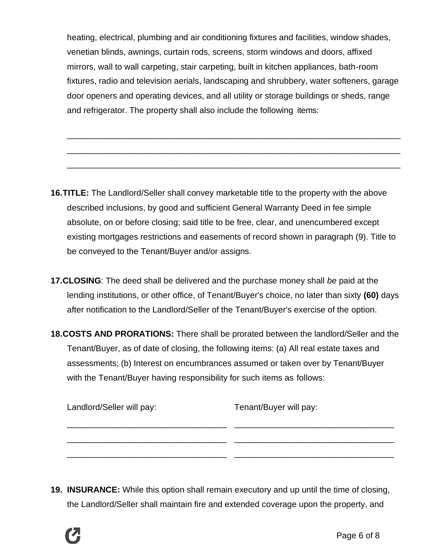heating, electrical, plumbing and air conditioning fixtures and facilities, window shades, venetian blinds, awnings, curtain rods, screens, storm windows and doors, affixed mirrors, wall to wall carpeting, stair carpeting, built in kitchen appliances, bath-room fixtures, radio and television aerials, landscaping and shrubbery, water softeners, garage door openers and operating devices, and all utility or storage buildings or sheds, range and refrigerator. The property shall also include the following items:

\_\_\_\_\_\_\_\_\_\_\_\_\_\_\_\_\_\_\_\_\_\_\_\_\_\_\_\_\_\_\_\_\_\_\_\_\_\_\_\_\_\_\_\_\_\_\_\_\_\_\_\_\_\_\_\_\_\_\_\_\_\_\_\_\_\_\_\_\_\_\_

\_\_\_\_\_\_\_\_\_\_\_\_\_\_\_\_\_\_\_\_\_\_\_\_\_\_\_\_\_\_\_\_\_\_\_\_\_\_\_\_\_\_\_\_\_\_\_\_\_\_\_\_\_\_\_\_\_\_\_\_\_\_\_\_\_\_\_\_\_\_\_

\_\_\_\_\_\_\_\_\_\_\_\_\_\_\_\_\_\_\_\_\_\_\_\_\_\_\_\_\_\_\_\_\_\_\_\_\_\_\_\_\_\_\_\_\_\_\_\_\_\_\_\_\_\_\_\_\_\_\_\_\_\_\_\_\_\_\_\_\_\_\_

- **16.TITLE:** The Landlord/Seller shall convey marketable title to the property with the above described inclusions, by good and sufficient General Warranty Deed in fee simple absolute, on or before closing; said title to be free, clear, and unencumbered except existing mortgages restrictions and easements of record shown in paragraph (9). Title to be conveyed to the Tenant/Buyer and/or assigns.
- **17.CLOSING**: The deed shall be delivered and the purchase money shall *be* paid at the lending institutions, or other office, of Tenant/Buyer's choice, no later than sixty **(60)** days after notification to the Landlord/Seller of the Tenant/Buyer's exercise of the option.
- **18.COSTS AND PRORATIONS:** There shall be prorated between the landlord/Seller and the Tenant/Buyer, as of date of closing, the following items: (a) All real estate taxes and assessments; (b) Interest on encumbrances assumed or taken over by Tenant/Buyer with the Tenant/Buyer having responsibility for such items as follows:

| Landlord/Seller will pay: | Tenant/Buyer will pay: |
|---------------------------|------------------------|
|                           |                        |
|                           |                        |
|                           |                        |

**19. INSURANCE:** While this option shall remain executory and up until the time of closing, the Landlord/Seller shall maintain fire and extended coverage upon the property, and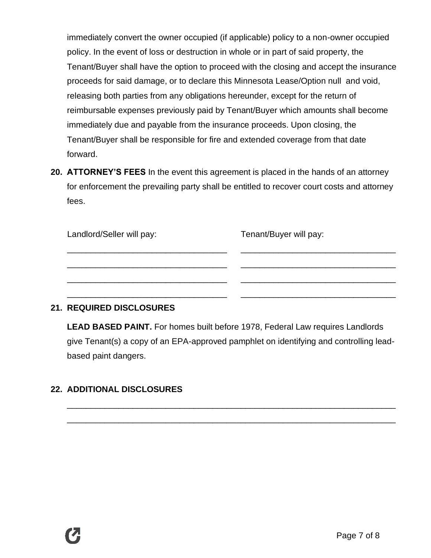immediately convert the owner occupied (if applicable) policy to a non-owner occupied policy. In the event of loss or destruction in whole or in part of said property, the Tenant/Buyer shall have the option to proceed with the closing and accept the insurance proceeds for said damage, or to declare this Minnesota Lease/Option null and void, releasing both parties from any obligations hereunder, except for the return of reimbursable expenses previously paid by Tenant/Buyer which amounts shall become immediately due and payable from the insurance proceeds. Upon closing, the Tenant/Buyer shall be responsible for fire and extended coverage from that date forward.

**20. ATTORNEY'S FEES** In the event this agreement is placed in the hands of an attorney for enforcement the prevailing party shall be entitled to recover court costs and attorney fees.

| Landlord/Seller will pay: | Tenant/Buyer will pay: |
|---------------------------|------------------------|
|                           |                        |
|                           |                        |
|                           |                        |
|                           |                        |

### **21. REQUIRED DISCLOSURES**

**LEAD BASED PAINT.** For homes built before 1978, Federal Law requires Landlords give Tenant(s) a copy of an EPA-approved pamphlet on identifying and controlling leadbased paint dangers.

\_\_\_\_\_\_\_\_\_\_\_\_\_\_\_\_\_\_\_\_\_\_\_\_\_\_\_\_\_\_\_\_\_\_\_\_\_\_\_\_\_\_\_\_\_\_\_\_\_\_\_\_\_\_\_\_\_\_\_\_\_\_\_\_\_\_\_\_\_\_

\_\_\_\_\_\_\_\_\_\_\_\_\_\_\_\_\_\_\_\_\_\_\_\_\_\_\_\_\_\_\_\_\_\_\_\_\_\_\_\_\_\_\_\_\_\_\_\_\_\_\_\_\_\_\_\_\_\_\_\_\_\_\_\_\_\_\_\_\_\_

## **22. ADDITIONAL DISCLOSURES**